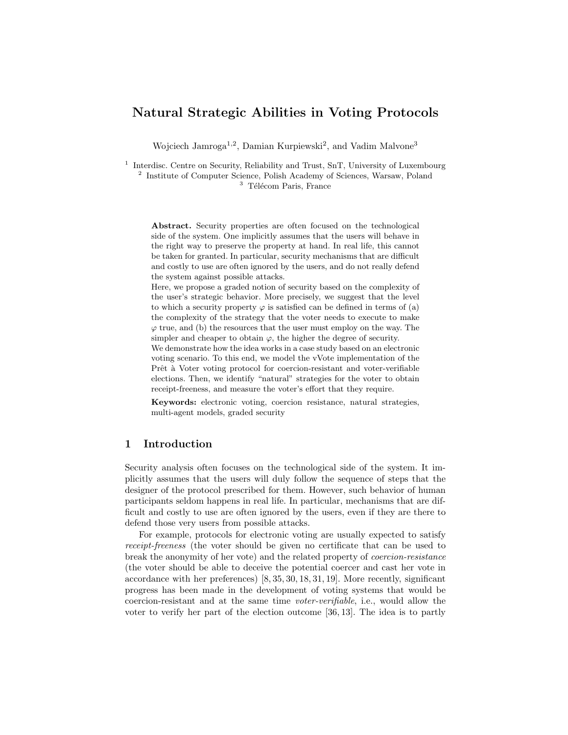# Natural Strategic Abilities in Voting Protocols

Wojciech Jamroga<sup>1,2</sup>, Damian Kurpiewski<sup>2</sup>, and Vadim Malvone<sup>3</sup>

<sup>1</sup> Interdisc. Centre on Security, Reliability and Trust, SnT, University of Luxembourg <sup>2</sup> Institute of Computer Science, Polish Academy of Sciences, Warsaw, Poland  $3$  Télécom Paris, France

Abstract. Security properties are often focused on the technological side of the system. One implicitly assumes that the users will behave in the right way to preserve the property at hand. In real life, this cannot be taken for granted. In particular, security mechanisms that are difficult and costly to use are often ignored by the users, and do not really defend the system against possible attacks.

Here, we propose a graded notion of security based on the complexity of the user's strategic behavior. More precisely, we suggest that the level to which a security property  $\varphi$  is satisfied can be defined in terms of (a) the complexity of the strategy that the voter needs to execute to make  $\varphi$  true, and (b) the resources that the user must employ on the way. The simpler and cheaper to obtain  $\varphi$ , the higher the degree of security.

We demonstrate how the idea works in a case study based on an electronic voting scenario. To this end, we model the vVote implementation of the Prêt à Voter voting protocol for coercion-resistant and voter-verifiable elections. Then, we identify "natural" strategies for the voter to obtain receipt-freeness, and measure the voter's effort that they require.

Keywords: electronic voting, coercion resistance, natural strategies, multi-agent models, graded security

## 1 Introduction

Security analysis often focuses on the technological side of the system. It implicitly assumes that the users will duly follow the sequence of steps that the designer of the protocol prescribed for them. However, such behavior of human participants seldom happens in real life. In particular, mechanisms that are difficult and costly to use are often ignored by the users, even if they are there to defend those very users from possible attacks.

For example, protocols for electronic voting are usually expected to satisfy receipt-freeness (the voter should be given no certificate that can be used to break the anonymity of her vote) and the related property of coercion-resistance (the voter should be able to deceive the potential coercer and cast her vote in accordance with her preferences) [8, 35, 30, 18, 31, 19]. More recently, significant progress has been made in the development of voting systems that would be coercion-resistant and at the same time voter-verifiable, i.e., would allow the voter to verify her part of the election outcome [36, 13]. The idea is to partly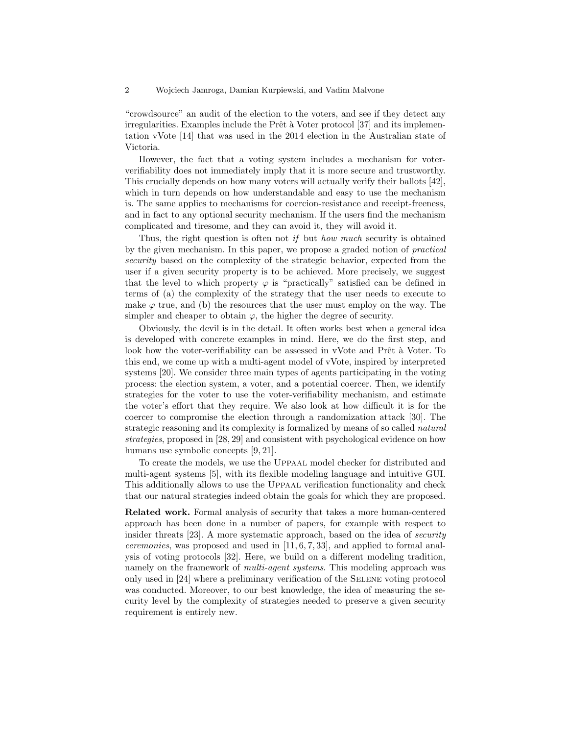"crowdsource" an audit of the election to the voters, and see if they detect any irregularities. Examples include the Prêt  $\grave{a}$  Voter protocol [37] and its implementation vVote [14] that was used in the 2014 election in the Australian state of Victoria.

However, the fact that a voting system includes a mechanism for voterverifiability does not immediately imply that it is more secure and trustworthy. This crucially depends on how many voters will actually verify their ballots [42], which in turn depends on how understandable and easy to use the mechanism is. The same applies to mechanisms for coercion-resistance and receipt-freeness, and in fact to any optional security mechanism. If the users find the mechanism complicated and tiresome, and they can avoid it, they will avoid it.

Thus, the right question is often not if but how much security is obtained by the given mechanism. In this paper, we propose a graded notion of practical security based on the complexity of the strategic behavior, expected from the user if a given security property is to be achieved. More precisely, we suggest that the level to which property  $\varphi$  is "practically" satisfied can be defined in terms of (a) the complexity of the strategy that the user needs to execute to make  $\varphi$  true, and (b) the resources that the user must employ on the way. The simpler and cheaper to obtain  $\varphi$ , the higher the degree of security.

Obviously, the devil is in the detail. It often works best when a general idea is developed with concrete examples in mind. Here, we do the first step, and look how the voter-verifiability can be assessed in vVote and Prêt à Voter. To this end, we come up with a multi-agent model of vVote, inspired by interpreted systems [20]. We consider three main types of agents participating in the voting process: the election system, a voter, and a potential coercer. Then, we identify strategies for the voter to use the voter-verifiability mechanism, and estimate the voter's effort that they require. We also look at how difficult it is for the coercer to compromise the election through a randomization attack [30]. The strategic reasoning and its complexity is formalized by means of so called *natural* strategies, proposed in [28, 29] and consistent with psychological evidence on how humans use symbolic concepts [9, 21].

To create the models, we use the Uppaal model checker for distributed and multi-agent systems [5], with its flexible modeling language and intuitive GUI. This additionally allows to use the Uppaal verification functionality and check that our natural strategies indeed obtain the goals for which they are proposed.

Related work. Formal analysis of security that takes a more human-centered approach has been done in a number of papers, for example with respect to insider threats [23]. A more systematic approach, based on the idea of security ceremonies, was proposed and used in [11, 6, 7, 33], and applied to formal analysis of voting protocols [32]. Here, we build on a different modeling tradition, namely on the framework of *multi-agent systems*. This modeling approach was only used in [24] where a preliminary verification of the Selene voting protocol was conducted. Moreover, to our best knowledge, the idea of measuring the security level by the complexity of strategies needed to preserve a given security requirement is entirely new.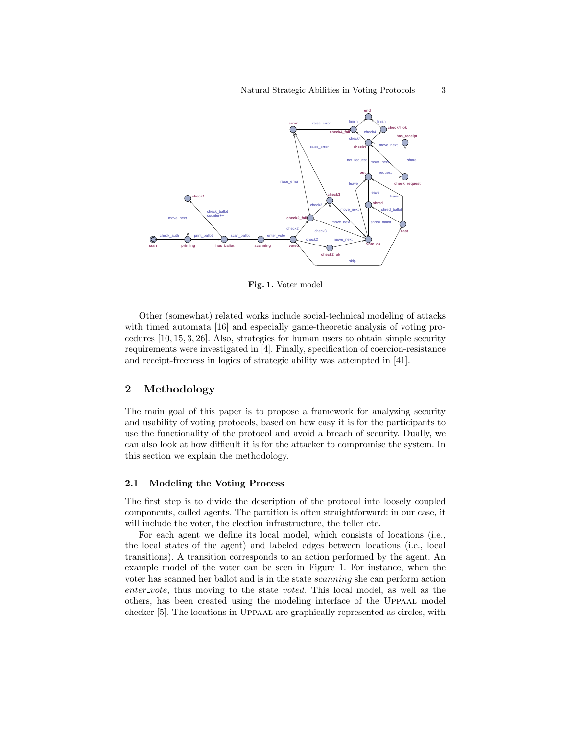

Fig. 1. Voter model

Other (somewhat) related works include social-technical modeling of attacks with timed automata [16] and especially game-theoretic analysis of voting procedures [10, 15, 3, 26]. Also, strategies for human users to obtain simple security requirements were investigated in [4]. Finally, specification of coercion-resistance and receipt-freeness in logics of strategic ability was attempted in [41].

## 2 Methodology

The main goal of this paper is to propose a framework for analyzing security and usability of voting protocols, based on how easy it is for the participants to use the functionality of the protocol and avoid a breach of security. Dually, we can also look at how difficult it is for the attacker to compromise the system. In this section we explain the methodology.

### 2.1 Modeling the Voting Process

The first step is to divide the description of the protocol into loosely coupled components, called agents. The partition is often straightforward: in our case, it will include the voter, the election infrastructure, the teller etc.

For each agent we define its local model, which consists of locations (i.e., the local states of the agent) and labeled edges between locations (i.e., local transitions). A transition corresponds to an action performed by the agent. An example model of the voter can be seen in Figure 1. For instance, when the voter has scanned her ballot and is in the state scanning she can perform action enter vote, thus moving to the state voted. This local model, as well as the others, has been created using the modeling interface of the Uppaal model checker [5]. The locations in Uppaal are graphically represented as circles, with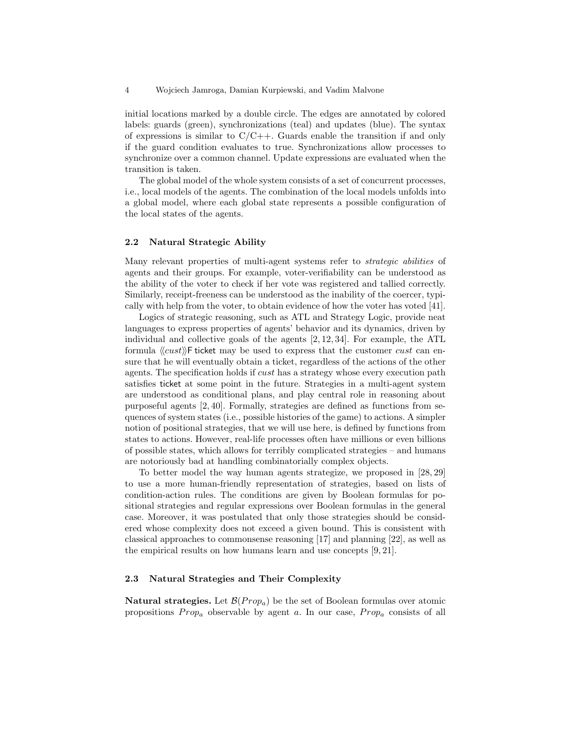initial locations marked by a double circle. The edges are annotated by colored labels: guards (green), synchronizations (teal) and updates (blue). The syntax of expressions is similar to  $C/C++$ . Guards enable the transition if and only if the guard condition evaluates to true. Synchronizations allow processes to synchronize over a common channel. Update expressions are evaluated when the transition is taken.

The global model of the whole system consists of a set of concurrent processes, i.e., local models of the agents. The combination of the local models unfolds into a global model, where each global state represents a possible configuration of the local states of the agents.

#### 2.2 Natural Strategic Ability

Many relevant properties of multi-agent systems refer to strategic abilities of agents and their groups. For example, voter-verifiability can be understood as the ability of the voter to check if her vote was registered and tallied correctly. Similarly, receipt-freeness can be understood as the inability of the coercer, typically with help from the voter, to obtain evidence of how the voter has voted [41].

Logics of strategic reasoning, such as ATL and Strategy Logic, provide neat languages to express properties of agents' behavior and its dynamics, driven by individual and collective goals of the agents [2, 12, 34]. For example, the ATL formula  $\langle \langle \text{cust} \rangle \rangle$ F ticket may be used to express that the customer cust can ensure that he will eventually obtain a ticket, regardless of the actions of the other agents. The specification holds if cust has a strategy whose every execution path satisfies ticket at some point in the future. Strategies in a multi-agent system are understood as conditional plans, and play central role in reasoning about purposeful agents [2, 40]. Formally, strategies are defined as functions from sequences of system states (i.e., possible histories of the game) to actions. A simpler notion of positional strategies, that we will use here, is defined by functions from states to actions. However, real-life processes often have millions or even billions of possible states, which allows for terribly complicated strategies – and humans are notoriously bad at handling combinatorially complex objects.

To better model the way human agents strategize, we proposed in [28, 29] to use a more human-friendly representation of strategies, based on lists of condition-action rules. The conditions are given by Boolean formulas for positional strategies and regular expressions over Boolean formulas in the general case. Moreover, it was postulated that only those strategies should be considered whose complexity does not exceed a given bound. This is consistent with classical approaches to commonsense reasoning [17] and planning [22], as well as the empirical results on how humans learn and use concepts [9, 21].

#### 2.3 Natural Strategies and Their Complexity

**Natural strategies.** Let  $\mathcal{B}(Prop_a)$  be the set of Boolean formulas over atomic propositions  $Prop_a$  observable by agent a. In our case,  $Prop_a$  consists of all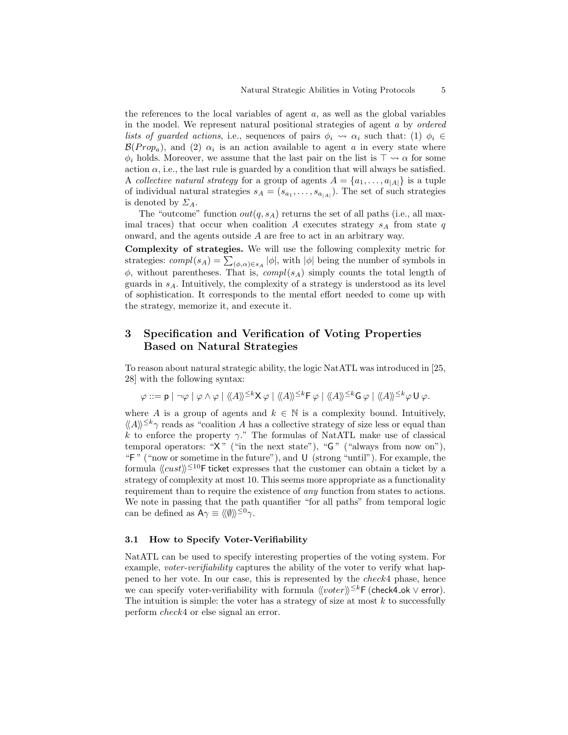the references to the local variables of agent  $a$ , as well as the global variables in the model. We represent natural positional strategies of agent a by ordered lists of guarded actions, i.e., sequences of pairs  $\phi_i \leadsto \alpha_i$  such that: (1)  $\phi_i \in$  $\mathcal{B}(Prop_a)$ , and (2)  $\alpha_i$  is an action available to agent a in every state where  $\phi_i$  holds. Moreover, we assume that the last pair on the list is  $\top \leadsto \alpha$  for some action  $\alpha$ , i.e., the last rule is guarded by a condition that will always be satisfied. A collective natural strategy for a group of agents  $A = \{a_1, \ldots, a_{|A|}\}\$ is a tuple of individual natural strategies  $s_A = (s_{a_1}, \ldots, s_{a_{|A|}})$ . The set of such strategies is denoted by  $\Sigma_A$ .

The "outcome" function  $out(q, s<sub>A</sub>)$  returns the set of all paths (i.e., all maximal traces) that occur when coalition A executes strategy  $s_A$  from state q onward, and the agents outside A are free to act in an arbitrary way.

Complexity of strategies. We will use the following complexity metric for strategies:  $compl(s_A) = \sum_{(\phi,\alpha)\in s_A} |\phi|$ , with  $|\phi|$  being the number of symbols in  $\phi$ , without parentheses. That is,  $compl(s_A)$  simply counts the total length of guards in  $s_A$ . Intuitively, the complexity of a strategy is understood as its level of sophistication. It corresponds to the mental effort needed to come up with the strategy, memorize it, and execute it.

## 3 Specification and Verification of Voting Properties Based on Natural Strategies

To reason about natural strategic ability, the logic NatATL was introduced in [25, 28] with the following syntax:

$$
\varphi::=\mathsf{p}~|~\neg\varphi~|~\varphi\wedge\varphi~|~\langle\!\langle A\rangle\!\rangle^{\leq k}\mathsf{X}~\varphi~|~\langle\!\langle A\rangle\!\rangle^{\leq k}\mathsf{F}~\varphi~|~\langle\!\langle A\rangle\!\rangle^{\leq k}\mathsf{G}~\varphi~|~\langle\!\langle A\rangle\!\rangle^{\leq k}\varphi~\mathsf{U}~\varphi.
$$

where A is a group of agents and  $k \in \mathbb{N}$  is a complexity bound. Intuitively,  $\langle A \rangle^{\leq k}$  reads as "coalition A has a collective strategy of size less or equal than k to enforce the property  $\gamma$ ." The formulas of NatATL make use of classical temporal operators: " $X$ " ("in the next state"), " $G$ " ("always from now on"), " $F$ " ("now or sometime in the future"), and U (strong "until"). For example, the formula  $\langle \langle \text{cust} \rangle \rangle^{\leq 10}$ F ticket expresses that the customer can obtain a ticket by a strategy of complexity at most 10. This seems more appropriate as a functionality requirement than to require the existence of *any* function from states to actions. We note in passing that the path quantifier "for all paths" from temporal logic can be defined as  $A\gamma \equiv \langle\langle \emptyset \rangle\rangle^{\leq 0}\gamma$ .

#### 3.1 How to Specify Voter-Verifiability

NatATL can be used to specify interesting properties of the voting system. For example, *voter-verifiability* captures the ability of the voter to verify what happened to her vote. In our case, this is represented by the check4 phase, hence we can specify voter-verifiability with formula  $\langle \langle \text{voter} \rangle \rangle^{\leq k}$ F (check4\_ok  $\vee$  error). The intuition is simple: the voter has a strategy of size at most  $k$  to successfully perform check4 or else signal an error.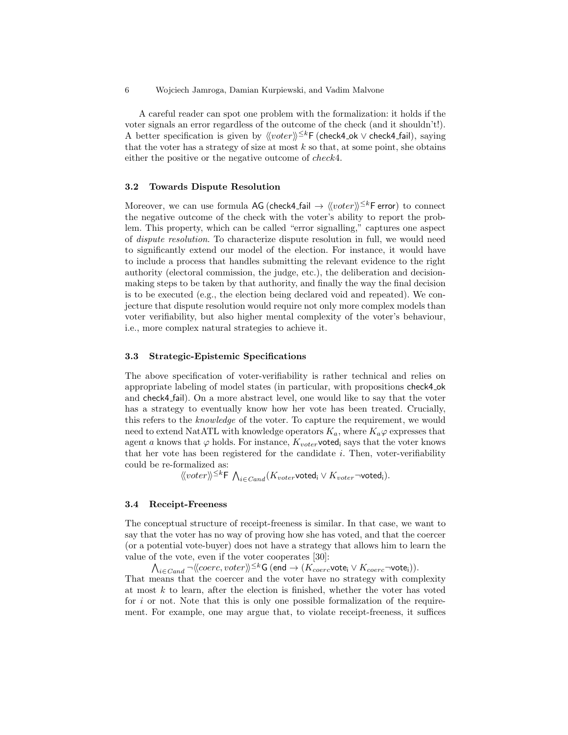A careful reader can spot one problem with the formalization: it holds if the voter signals an error regardless of the outcome of the check (and it shouldn't!). A better specification is given by  $\langle \langle \text{voter} \rangle \rangle^{\leq k}$ F (check4\_ok  $\vee$  check4\_fail), saying that the voter has a strategy of size at most  $k$  so that, at some point, she obtains either the positive or the negative outcome of check4.

#### 3.2 Towards Dispute Resolution

Moreover, we can use formula AG (check4\_fail  $\rightarrow$   $\langle \langle \text{voter} \rangle \rangle^{\leq k}$ F error) to connect the negative outcome of the check with the voter's ability to report the problem. This property, which can be called "error signalling," captures one aspect of dispute resolution. To characterize dispute resolution in full, we would need to significantly extend our model of the election. For instance, it would have to include a process that handles submitting the relevant evidence to the right authority (electoral commission, the judge, etc.), the deliberation and decisionmaking steps to be taken by that authority, and finally the way the final decision is to be executed (e.g., the election being declared void and repeated). We conjecture that dispute resolution would require not only more complex models than voter verifiability, but also higher mental complexity of the voter's behaviour, i.e., more complex natural strategies to achieve it.

### 3.3 Strategic-Epistemic Specifications

The above specification of voter-verifiability is rather technical and relies on appropriate labeling of model states (in particular, with propositions check4 ok and check4 fail). On a more abstract level, one would like to say that the voter has a strategy to eventually know how her vote has been treated. Crucially, this refers to the knowledge of the voter. To capture the requirement, we would need to extend NatATL with knowledge operators  $K_a$ , where  $K_a\varphi$  expresses that agent a knows that  $\varphi$  holds. For instance,  $K_{voter}$  voted<sub>i</sub> says that the voter knows that her vote has been registered for the candidate  $i$ . Then, voter-verifiability could be re-formalized as:

$$
\langle \! \langle vortex \rangle \! \rangle^{\leq k} \textsf{F}~ \textstyle \bigwedge_{i \in \textit{Cand}} (K_{\textit{voter}} \textsf{voted}_i \vee K_{\textit{voter}} \neg \textsf{voted}_i).
$$

#### 3.4 Receipt-Freeness

The conceptual structure of receipt-freeness is similar. In that case, we want to say that the voter has no way of proving how she has voted, and that the coercer (or a potential vote-buyer) does not have a strategy that allows him to learn the value of the vote, even if the voter cooperates [30]:

 $\bigwedge_{i\in\mathit{Cand}}\neg\langle\!\langle \mathit{coerc},\mathit{voter}\rangle\!\rangle^{\leq k}$ G $(\mathsf{end}\to(K_{coerc}$ vot $\mathsf{e}_\mathsf{i}\vee K_{coerc} \neg \mathsf{vote}_\mathsf{i})).$ That means that the coercer and the voter have no strategy with complexity at most  $k$  to learn, after the election is finished, whether the voter has voted for *i* or not. Note that this is only one possible formalization of the requirement. For example, one may argue that, to violate receipt-freeness, it suffices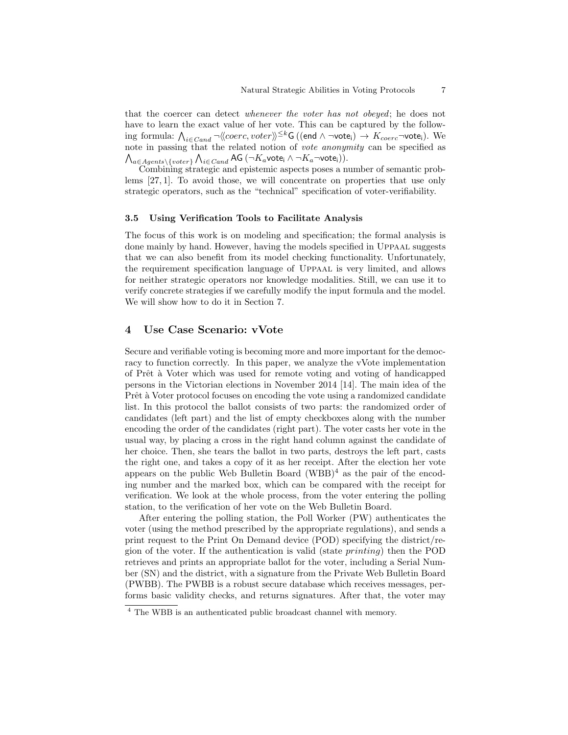that the coercer can detect whenever the voter has not obeyed; he does not have to learn the exact value of her vote. This can be captured by the following formula:  $\bigwedge_{i\in \textit{Cand}} \neg \langle \! \langle \textit{coerc}, \textit{voter} \rangle \! \rangle^{\leq k}$ G $\left(\textsf{(end} \land \neg \textsf{vote}_i \right) \to K_{\textit{coerc}} \neg \textsf{vote}_i \textsf{)}.$  We note in passing that the related notion of vote anonymity can be specified as  $\bigwedge_{a \in Agents \setminus \{voter\}}\bigwedge_{i \in \textit{Cand}}\textsf{AG}\left(\neg K_a \textsf{vote}_\mathsf{i} \land \neg K_a \neg \textsf{vote}_\mathsf{i}\right)\right)\!.$ 

Combining strategic and epistemic aspects poses a number of semantic problems [27, 1]. To avoid those, we will concentrate on properties that use only strategic operators, such as the "technical" specification of voter-verifiability.

#### 3.5 Using Verification Tools to Facilitate Analysis

The focus of this work is on modeling and specification; the formal analysis is done mainly by hand. However, having the models specified in UPPAAL suggests that we can also benefit from its model checking functionality. Unfortunately, the requirement specification language of Uppaal is very limited, and allows for neither strategic operators nor knowledge modalities. Still, we can use it to verify concrete strategies if we carefully modify the input formula and the model. We will show how to do it in Section 7.

### 4 Use Case Scenario: vVote

Secure and verifiable voting is becoming more and more important for the democracy to function correctly. In this paper, we analyze the vVote implementation of Prêt à Voter which was used for remote voting and voting of handicapped persons in the Victorian elections in November 2014 [14]. The main idea of the Prêt à Voter protocol focuses on encoding the vote using a randomized candidate list. In this protocol the ballot consists of two parts: the randomized order of candidates (left part) and the list of empty checkboxes along with the number encoding the order of the candidates (right part). The voter casts her vote in the usual way, by placing a cross in the right hand column against the candidate of her choice. Then, she tears the ballot in two parts, destroys the left part, casts the right one, and takes a copy of it as her receipt. After the election her vote appears on the public Web Bulletin Board  $(WBB)^4$  as the pair of the encoding number and the marked box, which can be compared with the receipt for verification. We look at the whole process, from the voter entering the polling station, to the verification of her vote on the Web Bulletin Board.

After entering the polling station, the Poll Worker (PW) authenticates the voter (using the method prescribed by the appropriate regulations), and sends a print request to the Print On Demand device (POD) specifying the district/region of the voter. If the authentication is valid (state  $primitive$ ) then the POD retrieves and prints an appropriate ballot for the voter, including a Serial Number (SN) and the district, with a signature from the Private Web Bulletin Board (PWBB). The PWBB is a robust secure database which receives messages, performs basic validity checks, and returns signatures. After that, the voter may

<sup>4</sup> The WBB is an authenticated public broadcast channel with memory.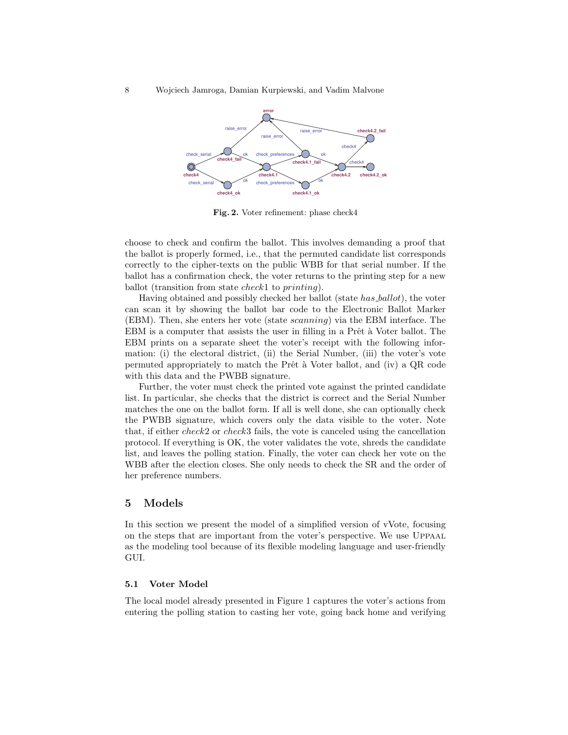

Fig. 2. Voter refinement: phase check4

choose to check and confirm the ballot. This involves demanding a proof that the ballot is properly formed, i.e., that the permuted candidate list corresponds correctly to the cipher-texts on the public WBB for that serial number. If the ballot has a confirmation check, the voter returns to the printing step for a new ballot (transition from state check1 to printing).

Having obtained and possibly checked her ballot (state has ballot), the voter can scan it by showing the ballot bar code to the Electronic Ballot Marker (EBM). Then, she enters her vote (state scanning) via the EBM interface. The EBM is a computer that assists the user in filling in a Prêt à Voter ballot. The EBM prints on a separate sheet the voter's receipt with the following information: (i) the electoral district, (ii) the Serial Number, (iii) the voter's vote permuted appropriately to match the Prêt  $\grave{a}$  Voter ballot, and (iv) a QR code with this data and the PWBB signature.

Further, the voter must check the printed vote against the printed candidate list. In particular, she checks that the district is correct and the Serial Number matches the one on the ballot form. If all is well done, she can optionally check the PWBB signature, which covers only the data visible to the voter. Note that, if either  $check2$  or check3 fails, the vote is canceled using the cancellation protocol. If everything is OK, the voter validates the vote, shreds the candidate list, and leaves the polling station. Finally, the voter can check her vote on the WBB after the election closes. She only needs to check the SR and the order of her preference numbers.

## 5 Models

In this section we present the model of a simplified version of vVote, focusing on the steps that are important from the voter's perspective. We use Uppaal as the modeling tool because of its flexible modeling language and user-friendly GUI.

#### 5.1 Voter Model

The local model already presented in Figure 1 captures the voter's actions from entering the polling station to casting her vote, going back home and verifying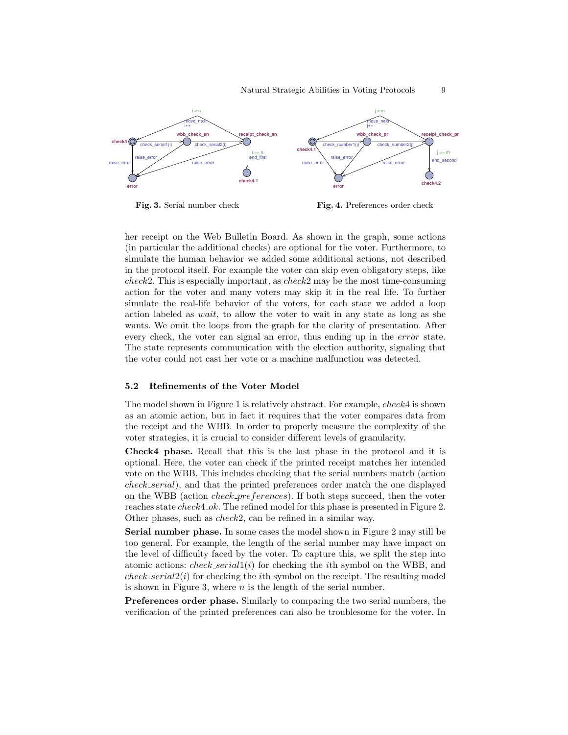

Fig. 3. Serial number check

Fig. 4. Preferences order check

her receipt on the Web Bulletin Board. As shown in the graph, some actions (in particular the additional checks) are optional for the voter. Furthermore, to simulate the human behavior we added some additional actions, not described in the protocol itself. For example the voter can skip even obligatory steps, like  $check2$ . This is especially important, as  $check2$  may be the most time-consuming action for the voter and many voters may skip it in the real life. To further simulate the real-life behavior of the voters, for each state we added a loop action labeled as wait, to allow the voter to wait in any state as long as she wants. We omit the loops from the graph for the clarity of presentation. After every check, the voter can signal an error, thus ending up in the error state. The state represents communication with the election authority, signaling that the voter could not cast her vote or a machine malfunction was detected.

#### 5.2 Refinements of the Voter Model

The model shown in Figure 1 is relatively abstract. For example, check4 is shown as an atomic action, but in fact it requires that the voter compares data from the receipt and the WBB. In order to properly measure the complexity of the voter strategies, it is crucial to consider different levels of granularity.

Check4 phase. Recall that this is the last phase in the protocol and it is optional. Here, the voter can check if the printed receipt matches her intended vote on the WBB. This includes checking that the serial numbers match (action check serial), and that the printed preferences order match the one displayed on the WBB (action check preferences). If both steps succeed, then the voter reaches state *check4\_ok*. The refined model for this phase is presented in Figure 2. Other phases, such as check2, can be refined in a similar way.

Serial number phase. In some cases the model shown in Figure 2 may still be too general. For example, the length of the serial number may have impact on the level of difficulty faced by the voter. To capture this, we split the step into atomic actions: *check\_serial* $1(i)$  for checking the *i*th symbol on the WBB, and  $check\_serial2(i)$  for checking the *i*th symbol on the receipt. The resulting model is shown in Figure 3, where  $n$  is the length of the serial number.

Preferences order phase. Similarly to comparing the two serial numbers, the verification of the printed preferences can also be troublesome for the voter. In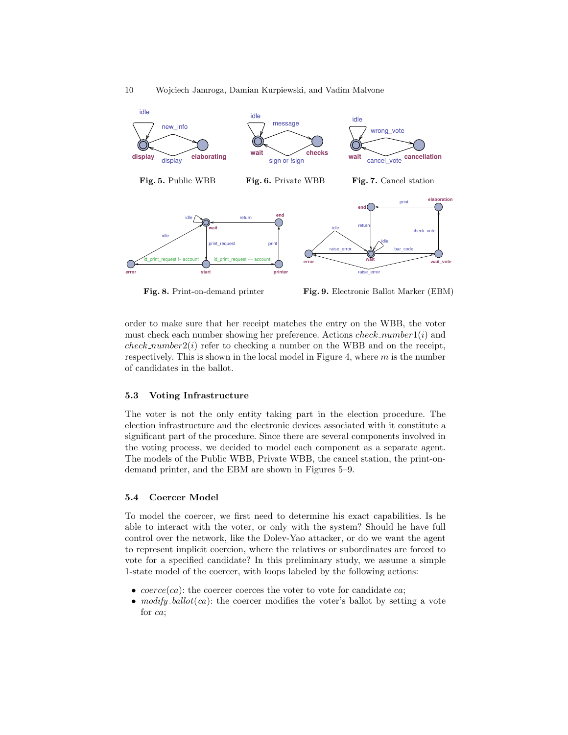

Fig. 8. Print-on-demand printer

Fig. 9. Electronic Ballot Marker (EBM)

order to make sure that her receipt matches the entry on the WBB, the voter must check each number showing her preference. Actions *check\_number*1 $(i)$  and  $check_number2(i)$  refer to checking a number on the WBB and on the receipt, respectively. This is shown in the local model in Figure 4, where  $m$  is the number of candidates in the ballot.

#### 5.3 Voting Infrastructure

The voter is not the only entity taking part in the election procedure. The election infrastructure and the electronic devices associated with it constitute a significant part of the procedure. Since there are several components involved in the voting process, we decided to model each component as a separate agent. The models of the Public WBB, Private WBB, the cancel station, the print-ondemand printer, and the EBM are shown in Figures 5–9.

#### 5.4 Coercer Model

To model the coercer, we first need to determine his exact capabilities. Is he able to interact with the voter, or only with the system? Should he have full control over the network, like the Dolev-Yao attacker, or do we want the agent to represent implicit coercion, where the relatives or subordinates are forced to vote for a specified candidate? In this preliminary study, we assume a simple 1-state model of the coercer, with loops labeled by the following actions:

- coerce(ca): the coercer coerces the voter to vote for candidate ca;
- modify\_ballot(ca): the coercer modifies the voter's ballot by setting a vote for ca;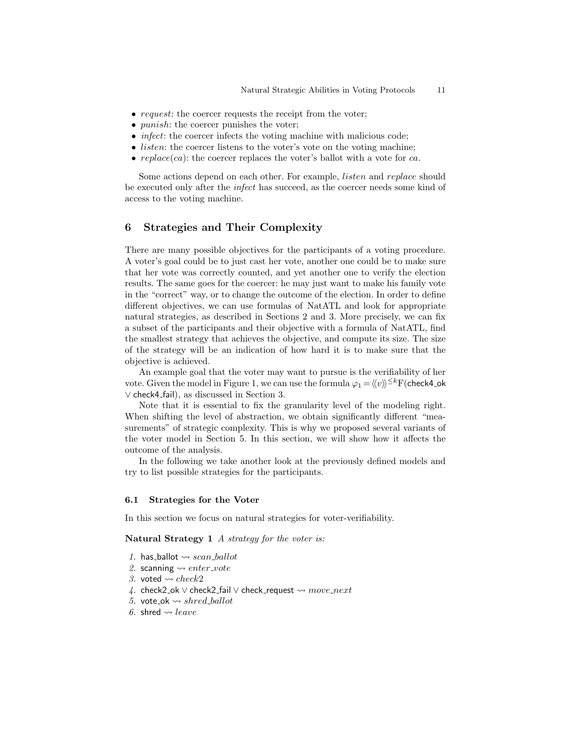- request: the coercer requests the receipt from the voter;
- *punish*: the coercer punishes the voter;
- *infect*: the coercer infects the voting machine with malicious code;
- $\bullet$  *listen*: the coercer listens to the voter's vote on the voting machine;
- $replace(ca)$ : the coercer replaces the voter's ballot with a vote for ca.

Some actions depend on each other. For example, listen and replace should be executed only after the infect has succeed, as the coercer needs some kind of access to the voting machine.

## 6 Strategies and Their Complexity

There are many possible objectives for the participants of a voting procedure. A voter's goal could be to just cast her vote, another one could be to make sure that her vote was correctly counted, and yet another one to verify the election results. The same goes for the coercer: he may just want to make his family vote in the "correct" way, or to change the outcome of the election. In order to define different objectives, we can use formulas of NatATL and look for appropriate natural strategies, as described in Sections 2 and 3. More precisely, we can fix a subset of the participants and their objective with a formula of NatATL, find the smallest strategy that achieves the objective, and compute its size. The size of the strategy will be an indication of how hard it is to make sure that the objective is achieved.

An example goal that the voter may want to pursue is the verifiability of her vote. Given the model in Figure 1, we can use the formula  $\varphi_1 = \langle \langle v \rangle \rangle^{\leq k}F(\text{check4-ok}$ ∨ check4 fail), as discussed in Section 3.

Note that it is essential to fix the granularity level of the modeling right. When shifting the level of abstraction, we obtain significantly different "measurements" of strategic complexity. This is why we proposed several variants of the voter model in Section 5. In this section, we will show how it affects the outcome of the analysis.

In the following we take another look at the previously defined models and try to list possible strategies for the participants.

#### 6.1 Strategies for the Voter

In this section we focus on natural strategies for voter-verifiability.

Natural Strategy 1 A strategy for the voter is:

- 1. has\_ballot  $\rightsquigarrow scan\_ballot$
- 2. scanning  $\rightsquigarrow$  enter vote
- 3. voted  $\rightsquigarrow check2$
- 4. check2\_ok  $\vee$  check2\_fail  $\vee$  check\_request  $\leadsto move\_next$
- 5. vote\_ok  $\rightsquigarrow$  shred\_ballot
- 6. shred  $\rightsquigarrow$  leave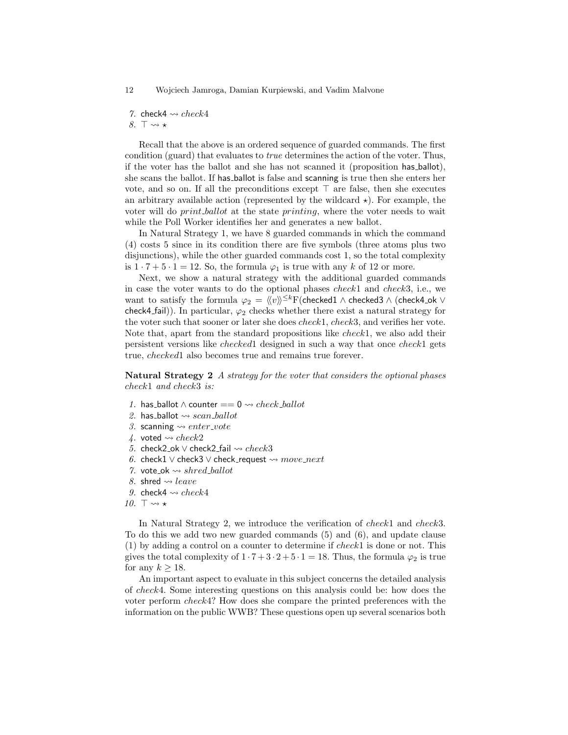7. check4  $\rightsquigarrow$   $check4$ 

8.  $\top \leadsto \star$ 

Recall that the above is an ordered sequence of guarded commands. The first condition (guard) that evaluates to true determines the action of the voter. Thus, if the voter has the ballot and she has not scanned it (proposition has ballot), she scans the ballot. If has ballot is false and scanning is true then she enters her vote, and so on. If all the preconditions except  $\top$  are false, then she executes an arbitrary available action (represented by the wildcard  $\star$ ). For example, the voter will do print ballot at the state printing, where the voter needs to wait while the Poll Worker identifies her and generates a new ballot.

In Natural Strategy 1, we have 8 guarded commands in which the command (4) costs 5 since in its condition there are five symbols (three atoms plus two disjunctions), while the other guarded commands cost 1, so the total complexity is  $1 \cdot 7 + 5 \cdot 1 = 12$ . So, the formula  $\varphi_1$  is true with any k of 12 or more.

Next, we show a natural strategy with the additional guarded commands in case the voter wants to do the optional phases *check*1 and *check*3, i.e., we want to satisfy the formula  $\varphi_2 = \langle \langle v \rangle \rangle^{\leq k}F(\text{checked1} \wedge \text{checked3} \wedge (\text{check4} \cdot \text{ok} \vee \text{K} \vee \text{K} \vee \text{K} \vee \text{K} \vee \text{K} \vee \text{K} \vee \text{K} \vee \text{K} \vee \text{K} \vee \text{K} \vee \text{K} \vee \text{K} \vee \text{K} \vee \text{K} \vee \text{K} \vee \text{K} \vee \text{K} \vee$ check4 fail)). In particular,  $\varphi_2$  checks whether there exist a natural strategy for the voter such that sooner or later she does check1, check3, and verifies her vote. Note that, apart from the standard propositions like check1, we also add their persistent versions like checked1 designed in such a way that once check1 gets true, checked1 also becomes true and remains true forever.

Natural Strategy 2 A strategy for the voter that considers the optional phases check1 and check3 is:

- 1. has\_ballot  $\wedge$  counter == 0  $\rightsquigarrow$  check\_ballot
- 2. has\_ballot  $\rightsquigarrow scan\_ballot$
- 3. scanning  $\rightsquigarrow$  enter vote
- 4. voted  $\rightsquigarrow$  check2
- 5. check2\_ok  $∨$  check2\_fail  $→$   $check3$
- 6. check1 ∨ check3 ∨ check\_request  $\rightsquigarrow move\_next$
- 7. vote\_ok  $\rightsquigarrow$  shred\_ballot
- 8. shred  $\rightsquigarrow$  leave
- 9. check4  $\rightsquigarrow$  check4
- 10.  $\top \leadsto \star$

In Natural Strategy 2, we introduce the verification of check1 and check3. To do this we add two new guarded commands (5) and (6), and update clause (1) by adding a control on a counter to determine if check1 is done or not. This gives the total complexity of  $1 \cdot 7 + 3 \cdot 2 + 5 \cdot 1 = 18$ . Thus, the formula  $\varphi_2$  is true for any  $k \geq 18$ .

An important aspect to evaluate in this subject concerns the detailed analysis of check4. Some interesting questions on this analysis could be: how does the voter perform check4? How does she compare the printed preferences with the information on the public WWB? These questions open up several scenarios both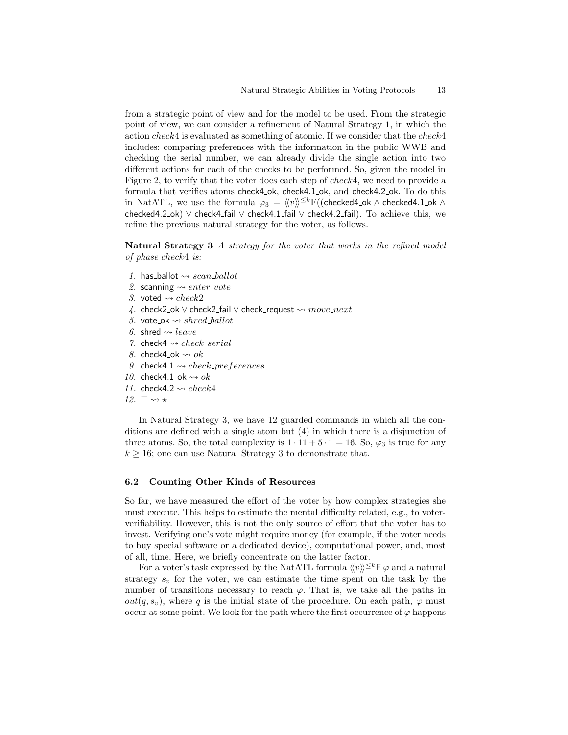from a strategic point of view and for the model to be used. From the strategic point of view, we can consider a refinement of Natural Strategy 1, in which the action check4 is evaluated as something of atomic. If we consider that the check4 includes: comparing preferences with the information in the public WWB and checking the serial number, we can already divide the single action into two different actions for each of the checks to be performed. So, given the model in Figure 2, to verify that the voter does each step of check4, we need to provide a formula that verifies atoms check4\_ok, check4.1\_ok, and check4.2\_ok. To do this in NatATL, we use the formula  $\varphi_3 = \langle \langle v \rangle \rangle^{\leq k}F$ ((checked4 ok ∧ checked4.1 ok ∧ checked4.2 ok) ∨ check4 fail ∨ check4.1 fail ∨ check4.2 fail). To achieve this, we refine the previous natural strategy for the voter, as follows.

Natural Strategy 3 A strategy for the voter that works in the refined model of phase check4 is:

- 1. has ballot  $\rightsquigarrow scan\_ballot$
- 2. scanning  $\rightsquigarrow$  enter vote
- 3. voted  $\rightsquigarrow check2$
- 4. check2\_ok  $\vee$  check2\_fail  $\vee$  check\_request  $\leadsto move\_next$
- 5. vote\_ok  $\rightsquigarrow$  shred\_ballot
- 6. shred  $\rightsquigarrow$  leave
- 7. check $4 \rightsquigarrow check\_serial$
- 8. check4\_ok  $\rightsquigarrow$  ok
- 9. check4.1  $\rightsquigarrow$  check preferences
- 10. check4.1\_ok  $\rightsquigarrow ok$
- 11. check4.2  $\rightsquigarrow$  check4

12.  $\top \rightsquigarrow \star$ 

In Natural Strategy 3, we have 12 guarded commands in which all the conditions are defined with a single atom but (4) in which there is a disjunction of three atoms. So, the total complexity is  $1 \cdot 11 + 5 \cdot 1 = 16$ . So,  $\varphi_3$  is true for any  $k \geq 16$ ; one can use Natural Strategy 3 to demonstrate that.

#### 6.2 Counting Other Kinds of Resources

So far, we have measured the effort of the voter by how complex strategies she must execute. This helps to estimate the mental difficulty related, e.g., to voterverifiability. However, this is not the only source of effort that the voter has to invest. Verifying one's vote might require money (for example, if the voter needs to buy special software or a dedicated device), computational power, and, most of all, time. Here, we briefly concentrate on the latter factor.

For a voter's task expressed by the NatATL formula  $\langle\langle v \rangle \rangle^{\leq k}$ F $\varphi$  and a natural strategy  $s_v$  for the voter, we can estimate the time spent on the task by the number of transitions necessary to reach  $\varphi$ . That is, we take all the paths in  $out(q, s_v)$ , where q is the initial state of the procedure. On each path,  $\varphi$  must occur at some point. We look for the path where the first occurrence of  $\varphi$  happens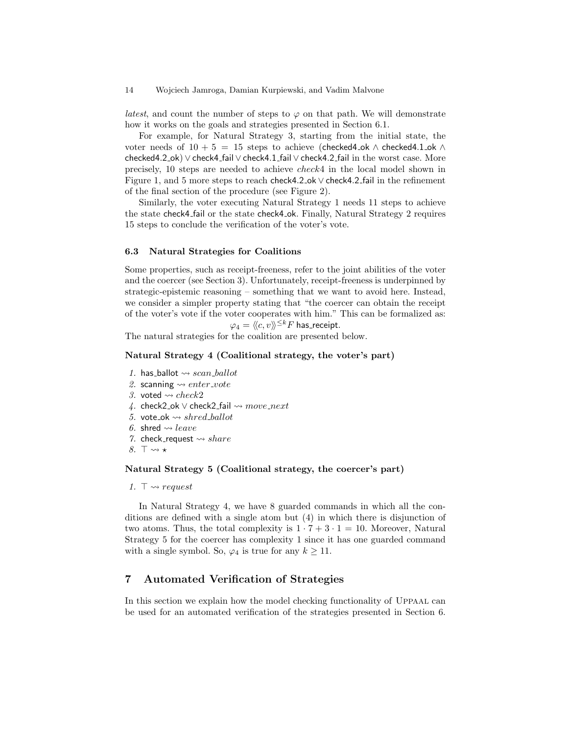*latest*, and count the number of steps to  $\varphi$  on that path. We will demonstrate how it works on the goals and strategies presented in Section 6.1.

For example, for Natural Strategy 3, starting from the initial state, the voter needs of  $10 + 5 = 15$  steps to achieve (checked4\_ok  $\land$  checked4.1\_ok  $\land$ checked4.2 ok) ∨ check4 fail ∨ check4.1 fail ∨ check4.2 fail in the worst case. More precisely, 10 steps are needed to achieve check4 in the local model shown in Figure 1, and 5 more steps to reach check4.2 ok ∨ check4.2 fail in the refinement of the final section of the procedure (see Figure 2).

Similarly, the voter executing Natural Strategy 1 needs 11 steps to achieve the state check4\_fail or the state check4\_ok. Finally, Natural Strategy 2 requires 15 steps to conclude the verification of the voter's vote.

#### 6.3 Natural Strategies for Coalitions

Some properties, such as receipt-freeness, refer to the joint abilities of the voter and the coercer (see Section 3). Unfortunately, receipt-freeness is underpinned by strategic-epistemic reasoning – something that we want to avoid here. Instead, we consider a simpler property stating that "the coercer can obtain the receipt of the voter's vote if the voter cooperates with him." This can be formalized as:  $\varphi_4 = \langle \langle c, v \rangle \rangle^{\leq k} F$  has receipt.

The natural strategies for the coalition are presented below.

### Natural Strategy 4 (Coalitional strategy, the voter's part)

- 1. has\_ballot  $\rightsquigarrow scan\_ballot$
- 2. scanning  $\rightsquigarrow$  enter vote
- 3. voted  $\rightsquigarrow check2$
- 4. check2\_ok  $\lor$  check2\_fail  $\leadsto move\_next$
- 5. vote\_ok  $\rightsquigarrow$  shred\_ballot
- 6. shred  $\rightsquigarrow$  leave
- 7. check\_request  $\rightsquigarrow share$
- 8.  $\top \leadsto \star$

## Natural Strategy 5 (Coalitional strategy, the coercer's part)

1.  $\top \rightsquigarrow$  request

In Natural Strategy 4, we have 8 guarded commands in which all the conditions are defined with a single atom but (4) in which there is disjunction of two atoms. Thus, the total complexity is  $1 \cdot 7 + 3 \cdot 1 = 10$ . Moreover, Natural Strategy 5 for the coercer has complexity 1 since it has one guarded command with a single symbol. So,  $\varphi_4$  is true for any  $k \geq 11$ .

## 7 Automated Verification of Strategies

In this section we explain how the model checking functionality of UPPAAL can be used for an automated verification of the strategies presented in Section 6.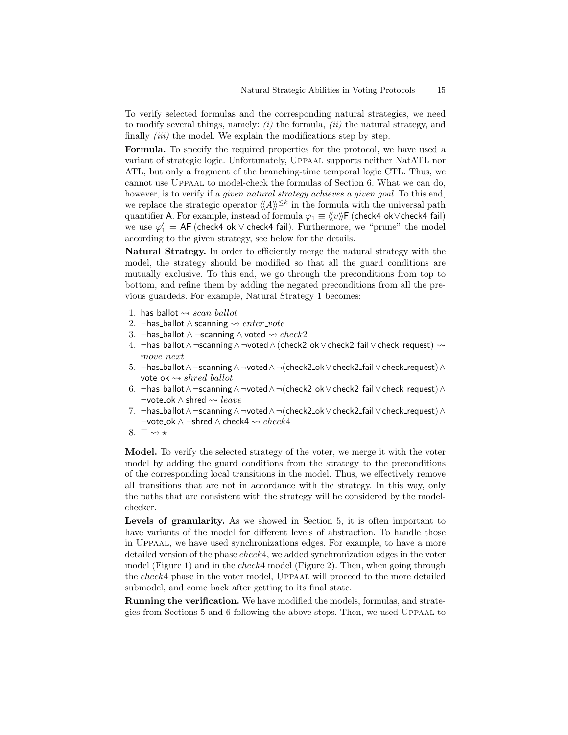To verify selected formulas and the corresponding natural strategies, we need to modify several things, namely:  $(i)$  the formula,  $(ii)$  the natural strategy, and finally  $(iii)$  the model. We explain the modifications step by step.

Formula. To specify the required properties for the protocol, we have used a variant of strategic logic. Unfortunately, Uppaal supports neither NatATL nor ATL, but only a fragment of the branching-time temporal logic CTL. Thus, we cannot use Uppaal to model-check the formulas of Section 6. What we can do, however, is to verify if a given natural strategy achieves a given goal. To this end, we replace the strategic operator  $\langle A \rangle^{\leq k}$  in the formula with the universal path quantifier A. For example, instead of formula  $\varphi_1 \equiv \langle \langle v \rangle \rangle$ F (check4\_ok∨check4\_fail) we use  $\varphi_1' = AF$  (check4\_ok  $\vee$  check4\_fail). Furthermore, we "prune" the model according to the given strategy, see below for the details.

Natural Strategy. In order to efficiently merge the natural strategy with the model, the strategy should be modified so that all the guard conditions are mutually exclusive. To this end, we go through the preconditions from top to bottom, and refine them by adding the negated preconditions from all the previous guardeds. For example, Natural Strategy 1 becomes:

- 1. has\_ballot  $\rightsquigarrow scan\_ballot$
- 2. ¬has\_ballot  $\land$  scanning  $\leadsto$  enter\_vote
- 3. ¬has\_ballot ∧ ¬scanning ∧ voted  $\rightsquigarrow check2$
- 4. ¬has\_ballot∧¬scanning∧¬voted∧(check2\_ok∨check2\_fail∨check\_request) → move next
- 5. ¬has\_ballot∧¬scanning∧¬voted∧¬(check2\_ok∨check2\_fail∨check\_request)∧ vote\_ok  $\rightsquigarrow shred\_ballot$
- 6. ¬has\_ballot∧¬scanning∧¬voted∧¬(check2\_ok∨check2\_fail∨check\_request)∧ ¬vote\_ok ∧ shred  $\leadsto leave$
- 7. ¬has\_ballot∧¬scanning∧¬voted∧¬(check2\_ok∨check2\_fail∨check\_request)∧ ¬vote\_ok ∧ ¬shred ∧ check4 ~ *check*4
- 8.  $\top \rightsquigarrow \star$

Model. To verify the selected strategy of the voter, we merge it with the voter model by adding the guard conditions from the strategy to the preconditions of the corresponding local transitions in the model. Thus, we effectively remove all transitions that are not in accordance with the strategy. In this way, only the paths that are consistent with the strategy will be considered by the modelchecker.

Levels of granularity. As we showed in Section 5, it is often important to have variants of the model for different levels of abstraction. To handle those in Uppaal, we have used synchronizations edges. For example, to have a more detailed version of the phase check4, we added synchronization edges in the voter model (Figure 1) and in the *check4* model (Figure 2). Then, when going through the *check*4 phase in the voter model, UPPAAL will proceed to the more detailed submodel, and come back after getting to its final state.

Running the verification. We have modified the models, formulas, and strategies from Sections 5 and 6 following the above steps. Then, we used Uppaal to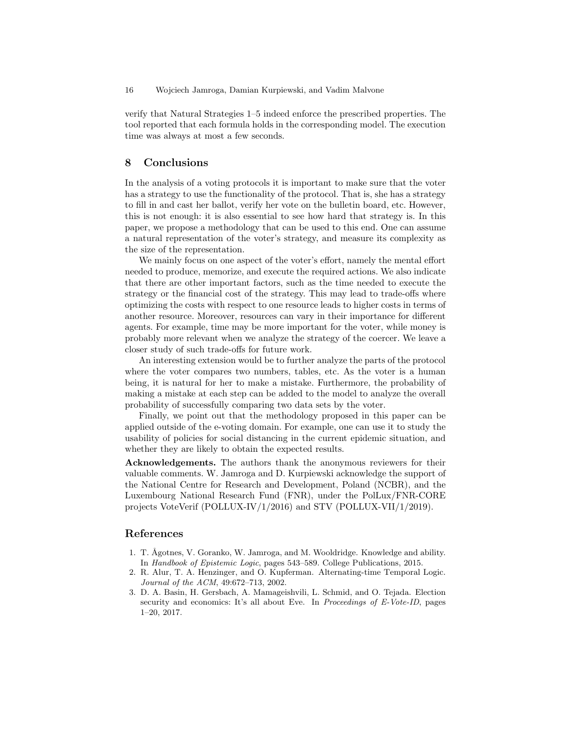verify that Natural Strategies 1–5 indeed enforce the prescribed properties. The tool reported that each formula holds in the corresponding model. The execution time was always at most a few seconds.

## 8 Conclusions

In the analysis of a voting protocols it is important to make sure that the voter has a strategy to use the functionality of the protocol. That is, she has a strategy to fill in and cast her ballot, verify her vote on the bulletin board, etc. However, this is not enough: it is also essential to see how hard that strategy is. In this paper, we propose a methodology that can be used to this end. One can assume a natural representation of the voter's strategy, and measure its complexity as the size of the representation.

We mainly focus on one aspect of the voter's effort, namely the mental effort needed to produce, memorize, and execute the required actions. We also indicate that there are other important factors, such as the time needed to execute the strategy or the financial cost of the strategy. This may lead to trade-offs where optimizing the costs with respect to one resource leads to higher costs in terms of another resource. Moreover, resources can vary in their importance for different agents. For example, time may be more important for the voter, while money is probably more relevant when we analyze the strategy of the coercer. We leave a closer study of such trade-offs for future work.

An interesting extension would be to further analyze the parts of the protocol where the voter compares two numbers, tables, etc. As the voter is a human being, it is natural for her to make a mistake. Furthermore, the probability of making a mistake at each step can be added to the model to analyze the overall probability of successfully comparing two data sets by the voter.

Finally, we point out that the methodology proposed in this paper can be applied outside of the e-voting domain. For example, one can use it to study the usability of policies for social distancing in the current epidemic situation, and whether they are likely to obtain the expected results.

Acknowledgements. The authors thank the anonymous reviewers for their valuable comments. W. Jamroga and D. Kurpiewski acknowledge the support of the National Centre for Research and Development, Poland (NCBR), and the Luxembourg National Research Fund (FNR), under the PolLux/FNR-CORE projects VoteVerif (POLLUX-IV/1/2016) and STV (POLLUX-VII/1/2019).

## References

- 1. T. Ågotnes, V. Goranko, W. Jamroga, and M. Wooldridge. Knowledge and ability. In Handbook of Epistemic Logic, pages 543–589. College Publications, 2015.
- 2. R. Alur, T. A. Henzinger, and O. Kupferman. Alternating-time Temporal Logic. Journal of the ACM, 49:672–713, 2002.
- 3. D. A. Basin, H. Gersbach, A. Mamageishvili, L. Schmid, and O. Tejada. Election security and economics: It's all about Eve. In Proceedings of E-Vote-ID, pages 1–20, 2017.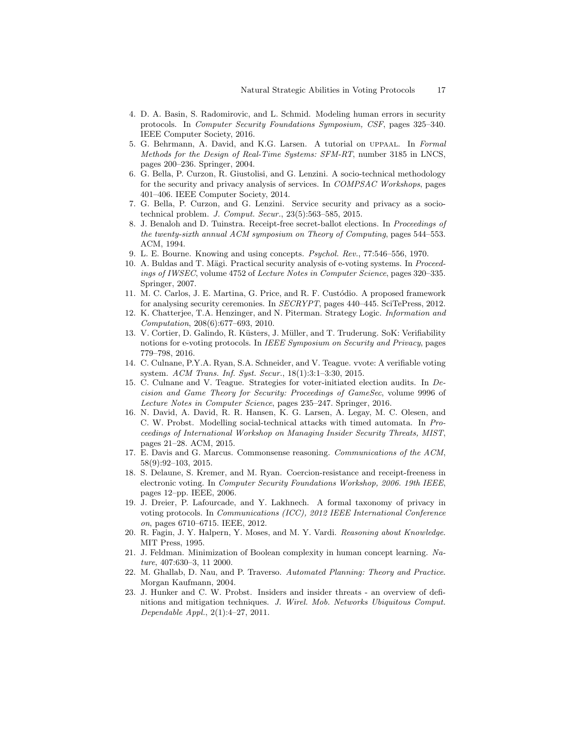- 4. D. A. Basin, S. Radomirovic, and L. Schmid. Modeling human errors in security protocols. In Computer Security Foundations Symposium, CSF, pages 325–340. IEEE Computer Society, 2016.
- 5. G. Behrmann, A. David, and K.G. Larsen. A tutorial on uppaal. In Formal Methods for the Design of Real-Time Systems: SFM-RT, number 3185 in LNCS, pages 200–236. Springer, 2004.
- 6. G. Bella, P. Curzon, R. Giustolisi, and G. Lenzini. A socio-technical methodology for the security and privacy analysis of services. In COMPSAC Workshops, pages 401–406. IEEE Computer Society, 2014.
- 7. G. Bella, P. Curzon, and G. Lenzini. Service security and privacy as a sociotechnical problem. J. Comput. Secur., 23(5):563–585, 2015.
- 8. J. Benaloh and D. Tuinstra. Receipt-free secret-ballot elections. In Proceedings of the twenty-sixth annual ACM symposium on Theory of Computing, pages 544–553. ACM, 1994.
- 9. L. E. Bourne. Knowing and using concepts. Psychol. Rev., 77:546–556, 1970.
- 10. A. Buldas and T. Mägi. Practical security analysis of e-voting systems. In Proceedings of IWSEC, volume 4752 of Lecture Notes in Computer Science, pages 320–335. Springer, 2007.
- 11. M. C. Carlos, J. E. Martina, G. Price, and R. F. Custódio. A proposed framework for analysing security ceremonies. In SECRYPT, pages 440–445. SciTePress, 2012.
- 12. K. Chatterjee, T.A. Henzinger, and N. Piterman. Strategy Logic. Information and Computation, 208(6):677–693, 2010.
- 13. V. Cortier, D. Galindo, R. Küsters, J. Müller, and T. Truderung. SoK: Verifiability notions for e-voting protocols. In IEEE Symposium on Security and Privacy, pages 779–798, 2016.
- 14. C. Culnane, P.Y.A. Ryan, S.A. Schneider, and V. Teague. vvote: A verifiable voting system. ACM Trans. Inf. Syst. Secur., 18(1):3:1–3:30, 2015.
- 15. C. Culnane and V. Teague. Strategies for voter-initiated election audits. In Decision and Game Theory for Security: Proceedings of GameSec, volume 9996 of Lecture Notes in Computer Science, pages 235–247. Springer, 2016.
- 16. N. David, A. David, R. R. Hansen, K. G. Larsen, A. Legay, M. C. Olesen, and C. W. Probst. Modelling social-technical attacks with timed automata. In Proceedings of International Workshop on Managing Insider Security Threats, MIST, pages 21–28. ACM, 2015.
- 17. E. Davis and G. Marcus. Commonsense reasoning. Communications of the ACM, 58(9):92–103, 2015.
- 18. S. Delaune, S. Kremer, and M. Ryan. Coercion-resistance and receipt-freeness in electronic voting. In Computer Security Foundations Workshop, 2006. 19th IEEE, pages 12–pp. IEEE, 2006.
- 19. J. Dreier, P. Lafourcade, and Y. Lakhnech. A formal taxonomy of privacy in voting protocols. In Communications (ICC), 2012 IEEE International Conference on, pages 6710–6715. IEEE, 2012.
- 20. R. Fagin, J. Y. Halpern, Y. Moses, and M. Y. Vardi. Reasoning about Knowledge. MIT Press, 1995.
- 21. J. Feldman. Minimization of Boolean complexity in human concept learning. Nature, 407:630–3, 11 2000.
- 22. M. Ghallab, D. Nau, and P. Traverso. Automated Planning: Theory and Practice. Morgan Kaufmann, 2004.
- 23. J. Hunker and C. W. Probst. Insiders and insider threats an overview of definitions and mitigation techniques. J. Wirel. Mob. Networks Ubiquitous Comput. Dependable Appl., 2(1):4–27, 2011.